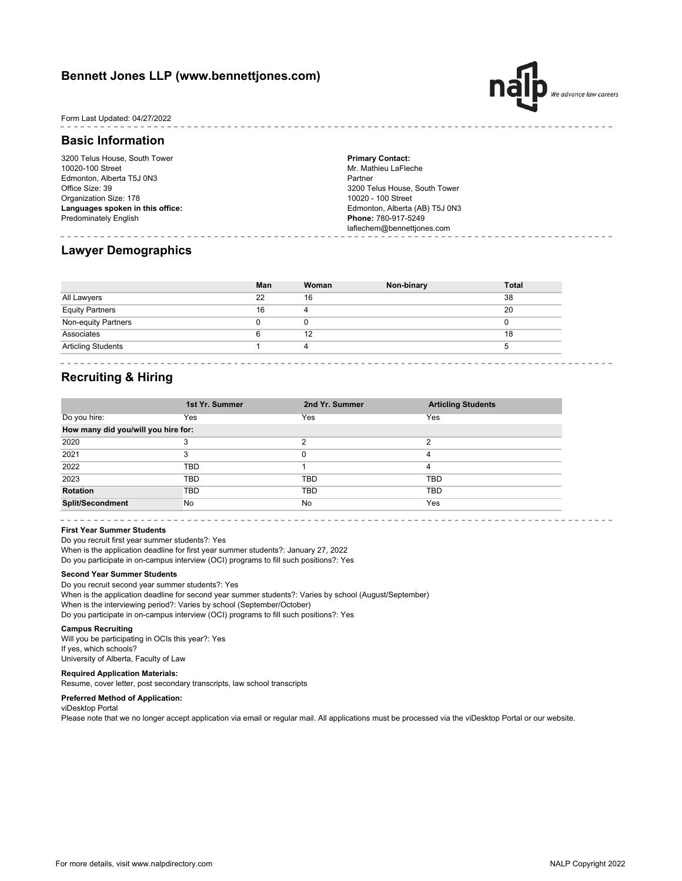## **Bennett Jones LLP (www.bennettjones.com)**



Form Last Updated: 04/27/2022

## **Basic Information**

3200 Telus House, South Tower 10020-100 Street Edmonton, Alberta T5J 0N3 Office Size: 39 Organization Size: 178 **Languages spoken in this office:** Predominately English

**Primary Contact:** Mr. Mathieu LaFleche Partner 3200 Telus House, South Tower 10020 - 100 Street Edmonton, Alberta (AB) T5J 0N3 **Phone:** 780-917-5249 laflechem@bennettjones.com

## **Lawyer Demographics**

|                           | Man | Woman | Non-binary | <b>Total</b> |
|---------------------------|-----|-------|------------|--------------|
| All Lawyers               | 22  | 16    |            | 38           |
| <b>Equity Partners</b>    | 16  | 4     |            | 20           |
| Non-equity Partners       |     |       |            | $\Omega$     |
| Associates                |     | 12    |            | 18           |
| <b>Articling Students</b> |     | 4     |            |              |

## **Recruiting & Hiring**

|                                     | 1st Yr. Summer | 2nd Yr. Summer | <b>Articling Students</b> |  |  |
|-------------------------------------|----------------|----------------|---------------------------|--|--|
| Do you hire:                        | Yes            | Yes            | Yes                       |  |  |
| How many did you/will you hire for: |                |                |                           |  |  |
| 2020                                | 3              | ≘              | າ                         |  |  |
| 2021                                | 3              | 0              | 4                         |  |  |
| 2022                                | <b>TBD</b>     |                | 4                         |  |  |
| 2023                                | <b>TBD</b>     | <b>TBD</b>     | <b>TBD</b>                |  |  |
| <b>Rotation</b>                     | <b>TBD</b>     | TBD            | TBD                       |  |  |
| <b>Split/Secondment</b>             | No             | No             | Yes                       |  |  |

**First Year Summer Students**

When is the application deadline for first year summer students?: January 27, 2022 Do you participate in on-campus interview (OCI) programs to fill such positions?: Yes Do you recruit first year summer students?: Yes

#### **Second Year Summer Students**

When is the application deadline for second year summer students?: Varies by school (August/September) When is the interviewing period?: Varies by school (September/October) Do you participate in on-campus interview (OCI) programs to fill such positions?: Yes Do you recruit second year summer students?: Yes

#### **Campus Recruiting**

Will you be participating in OCIs this year?: Yes If yes, which schools? University of Alberta, Faculty of Law

### **Required Application Materials:**

Resume, cover letter, post secondary transcripts, law school transcripts

#### **Preferred Method of Application:**

viDesktop Portal

Please note that we no longer accept application via email or regular mail. All applications must be processed via the viDesktop Portal or our website.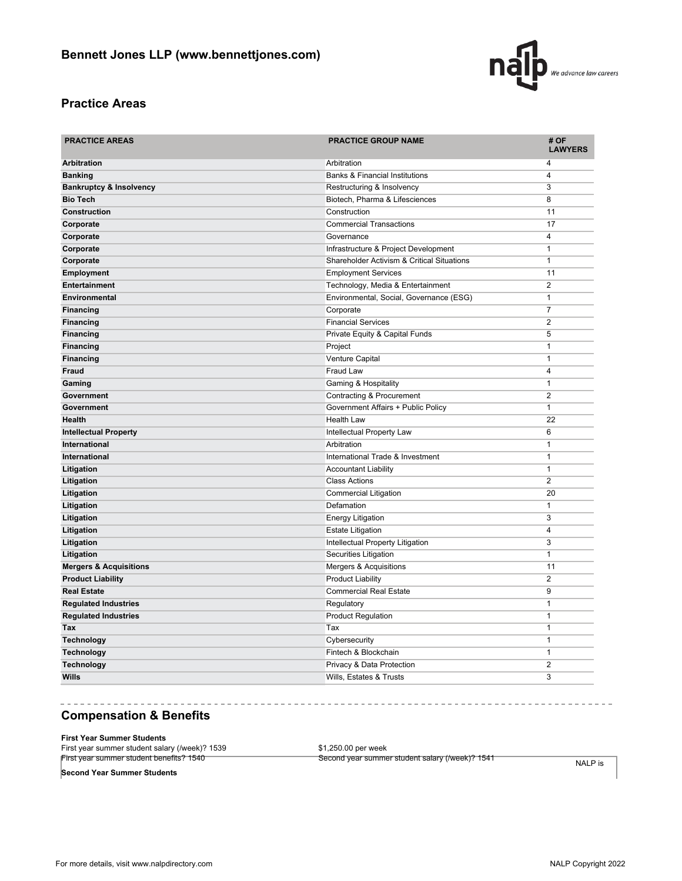

# **Practice Areas**

| <b>PRACTICE AREAS</b>              | <b>PRACTICE GROUP NAME</b>                 | # OF<br><b>LAWYERS</b> |  |
|------------------------------------|--------------------------------------------|------------------------|--|
| <b>Arbitration</b>                 | Arbitration                                | 4                      |  |
| <b>Banking</b>                     | <b>Banks &amp; Financial Institutions</b>  | 4                      |  |
| <b>Bankruptcy &amp; Insolvency</b> | Restructuring & Insolvency                 | 3                      |  |
| <b>Bio Tech</b>                    | Biotech, Pharma & Lifesciences             | $\overline{8}$         |  |
| Construction                       | Construction                               | 11                     |  |
| Corporate                          | <b>Commercial Transactions</b>             | 17                     |  |
| Corporate                          | Governance                                 | 4                      |  |
| Corporate                          | Infrastructure & Project Development       | $\mathbf{1}$           |  |
| Corporate                          | Shareholder Activism & Critical Situations | $\mathbf{1}$           |  |
| <b>Employment</b>                  | <b>Employment Services</b>                 | 11                     |  |
| <b>Entertainment</b>               | Technology, Media & Entertainment          | $\overline{2}$         |  |
| <b>Environmental</b>               | Environmental, Social, Governance (ESG)    | $\mathbf{1}$           |  |
| <b>Financing</b>                   | Corporate                                  | $\overline{7}$         |  |
| <b>Financing</b>                   | <b>Financial Services</b>                  | $\overline{2}$         |  |
| <b>Financing</b>                   | Private Equity & Capital Funds             | 5                      |  |
| <b>Financing</b>                   | Project                                    | $\overline{1}$         |  |
| <b>Financing</b>                   | Venture Capital                            | $\mathbf{1}$           |  |
| <b>Fraud</b>                       | Fraud Law                                  | $\overline{4}$         |  |
| Gaming                             | Gaming & Hospitality                       | $\mathbf{1}$           |  |
| Government                         | Contracting & Procurement                  | 2                      |  |
| Government                         | Government Affairs + Public Policy         | $\mathbf{1}$           |  |
| Health                             | <b>Health Law</b>                          | 22                     |  |
| <b>Intellectual Property</b>       | Intellectual Property Law                  | 6                      |  |
| International                      | Arbitration                                | $\mathbf{1}$           |  |
| <b>International</b>               | International Trade & Investment           | $\mathbf{1}$           |  |
| Litigation                         | <b>Accountant Liability</b>                | $\mathbf{1}$           |  |
| Litigation                         | <b>Class Actions</b>                       | $\overline{2}$         |  |
| Litigation                         | <b>Commercial Litigation</b>               | 20                     |  |
| Litigation                         | Defamation                                 | $\mathbf{1}$           |  |
| Litigation                         | <b>Energy Litigation</b>                   | 3                      |  |
| Litigation                         | <b>Estate Litigation</b>                   | $\overline{4}$         |  |
| Litigation                         | Intellectual Property Litigation           | 3                      |  |
| Litigation                         | Securities Litigation                      | $\mathbf{1}$           |  |
| <b>Mergers &amp; Acquisitions</b>  | Mergers & Acquisitions                     | 11                     |  |
| <b>Product Liability</b>           | <b>Product Liability</b>                   | $\overline{2}$         |  |
| <b>Real Estate</b>                 | <b>Commercial Real Estate</b>              | 9                      |  |
| <b>Regulated Industries</b>        | Regulatory                                 | $\mathbf{1}$           |  |
| <b>Regulated Industries</b>        | <b>Product Regulation</b>                  | $\mathbf{1}$           |  |
| Tax                                | Tax                                        | $\mathbf{1}$           |  |
| <b>Technology</b>                  | Cybersecurity                              | $\mathbf{1}$           |  |
| <b>Technology</b>                  | Fintech & Blockchain                       | $\mathbf{1}$           |  |
| <b>Technology</b>                  | Privacy & Data Protection                  | 2                      |  |
| Wills                              | Wills, Estates & Trusts                    | 3                      |  |

# **Compensation & Benefits**

#### **First Year Summer Students**

| First year summer student salary (/week)? 1539 | \$1,250.00 per week                             |
|------------------------------------------------|-------------------------------------------------|
| First year summer student benefits? 1540       | Second year summer student salary (/week)? 1541 |

 $- - -$ 

**Second Year Summer Students**

NALP is

 $\sim$   $-$ 

 $- - - - - - -$